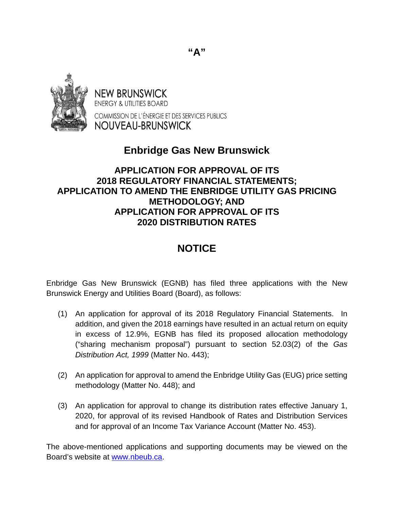

**NEW BRUNSWICK ENERGY & UTILITIES BOARD** COMMISSION DE L'ÉNERGIE ET DES SERVICES PUBLICS NOUVEAU-BRUNSWICK

## **Enbridge Gas New Brunswick**

## **APPLICATION FOR APPROVAL OF ITS 2018 REGULATORY FINANCIAL STATEMENTS; APPLICATION TO AMEND THE ENBRIDGE UTILITY GAS PRICING METHODOLOGY; AND APPLICATION FOR APPROVAL OF ITS 2020 DISTRIBUTION RATES**

## **NOTICE**

Enbridge Gas New Brunswick (EGNB) has filed three applications with the New Brunswick Energy and Utilities Board (Board), as follows:

- (1) An application for approval of its 2018 Regulatory Financial Statements. In addition, and given the 2018 earnings have resulted in an actual return on equity in excess of 12.9%, EGNB has filed its proposed allocation methodology ("sharing mechanism proposal") pursuant to section 52.03(2) of the *Gas Distribution Act, 1999* (Matter No. 443);
- (2) An application for approval to amend the Enbridge Utility Gas (EUG) price setting methodology (Matter No. 448); and
- (3) An application for approval to change its distribution rates effective January 1, 2020, for approval of its revised Handbook of Rates and Distribution Services and for approval of an Income Tax Variance Account (Matter No. 453).

The above-mentioned applications and supporting documents may be viewed on the Board's website at [www.nbeub.ca.](http://www.nbeub.ca/)